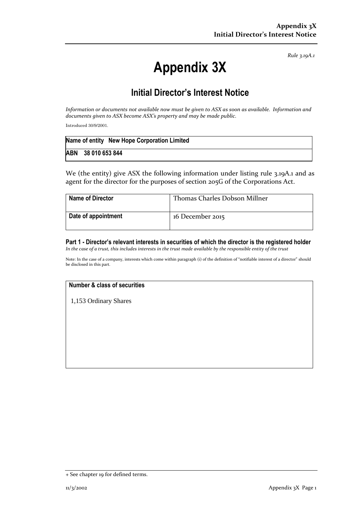*Rule 3.19A.1*

# **Appendix 3X**

## **Initial Director's Interest Notice**

*Information or documents not available now must be given to ASX as soon as available. Information and documents given to ASX become ASX's property and may be made public.*

Introduced 30/9/2001.

| Name of entity New Hope Corporation Limited |
|---------------------------------------------|
| ABN 38 010 653 844                          |

We (the entity) give ASX the following information under listing rule 3.19A.1 and as agent for the director for the purposes of section 205G of the Corporations Act.

| <b>Name of Director</b> | Thomas Charles Dobson Millner |
|-------------------------|-------------------------------|
| Date of appointment     | 16 December 2015              |

**Part 1 - Director's relevant interests in securities of which the director is the registered holder** *In the case of a trust, this includes interests in the trust made available by the responsible entity of the trust*

Note: In the case of a company, interests which come within paragraph (i) of the definition of "notifiable interest of a director" should be disclosed in this part.

#### **Number & class of securities**

1,153 Ordinary Shares

<sup>+</sup> See chapter 19 for defined terms.